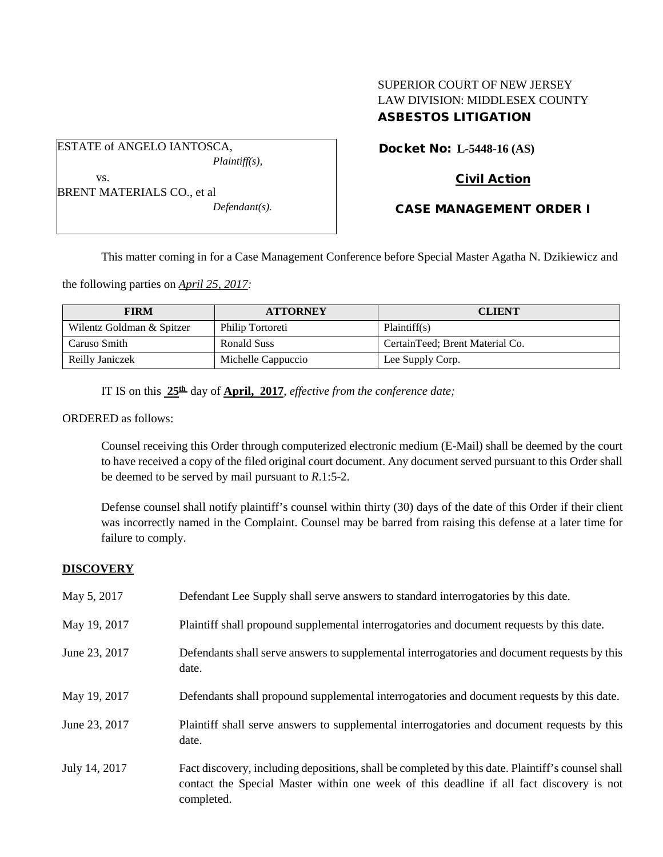# SUPERIOR COURT OF NEW JERSEY LAW DIVISION: MIDDLESEX COUNTY ASBESTOS LITIGATION

ESTATE of ANGELO IANTOSCA, *Plaintiff(s),*

## Docket No: **L-5448-16 (AS)**

## Civil Action

## BRENT MATERIALS CO., et al *Defendant(s).*

vs.

CASE MANAGEMENT ORDER I

This matter coming in for a Case Management Conference before Special Master Agatha N. Dzikiewicz and

the following parties on *April 25, 2017:*

| <b>FIRM</b>               | <b>ATTORNEY</b>    | <b>CLIENT</b>                   |
|---------------------------|--------------------|---------------------------------|
| Wilentz Goldman & Spitzer | Philip Tortoreti   | Plaintiff(s)                    |
| Caruso Smith              | <b>Ronald Suss</b> | CertainTeed; Brent Material Co. |
| Reilly Janiczek           | Michelle Cappuccio | Lee Supply Corp.                |

IT IS on this **25th** day of **April, 2017**, *effective from the conference date;*

ORDERED as follows:

Counsel receiving this Order through computerized electronic medium (E-Mail) shall be deemed by the court to have received a copy of the filed original court document. Any document served pursuant to this Order shall be deemed to be served by mail pursuant to *R*.1:5-2.

Defense counsel shall notify plaintiff's counsel within thirty (30) days of the date of this Order if their client was incorrectly named in the Complaint. Counsel may be barred from raising this defense at a later time for failure to comply.

## **DISCOVERY**

| May 5, 2017   | Defendant Lee Supply shall serve answers to standard interrogatories by this date.                                                                                                                          |
|---------------|-------------------------------------------------------------------------------------------------------------------------------------------------------------------------------------------------------------|
| May 19, 2017  | Plaintiff shall propound supplemental interrogatories and document requests by this date.                                                                                                                   |
| June 23, 2017 | Defendants shall serve answers to supplemental interrogatories and document requests by this<br>date.                                                                                                       |
| May 19, 2017  | Defendants shall propound supplemental interrogatories and document requests by this date.                                                                                                                  |
| June 23, 2017 | Plaintiff shall serve answers to supplemental interrogatories and document requests by this<br>date.                                                                                                        |
| July 14, 2017 | Fact discovery, including depositions, shall be completed by this date. Plaintiff's counsel shall<br>contact the Special Master within one week of this deadline if all fact discovery is not<br>completed. |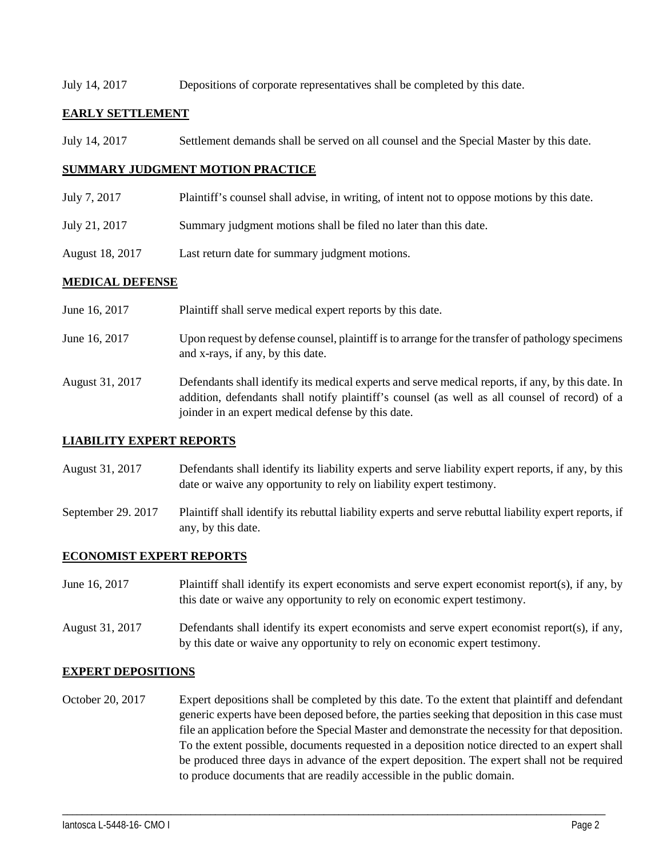July 14, 2017 Depositions of corporate representatives shall be completed by this date.

## **EARLY SETTLEMENT**

July 14, 2017 Settlement demands shall be served on all counsel and the Special Master by this date.

## **SUMMARY JUDGMENT MOTION PRACTICE**

- July 7, 2017 Plaintiff's counsel shall advise, in writing, of intent not to oppose motions by this date.
- July 21, 2017 Summary judgment motions shall be filed no later than this date.
- August 18, 2017 Last return date for summary judgment motions.

## **MEDICAL DEFENSE**

| June 16, 2017   | Plaintiff shall serve medical expert reports by this date.                                                                                                                                                                                               |
|-----------------|----------------------------------------------------------------------------------------------------------------------------------------------------------------------------------------------------------------------------------------------------------|
| June 16, 2017   | Upon request by defense counsel, plaintiff is to arrange for the transfer of pathology specimens<br>and x-rays, if any, by this date.                                                                                                                    |
| August 31, 2017 | Defendants shall identify its medical experts and serve medical reports, if any, by this date. In<br>addition, defendants shall notify plaintiff's counsel (as well as all counsel of record) of a<br>joinder in an expert medical defense by this date. |

## **LIABILITY EXPERT REPORTS**

August 31, 2017 Defendants shall identify its liability experts and serve liability expert reports, if any, by this date or waive any opportunity to rely on liability expert testimony.

September 29. 2017 Plaintiff shall identify its rebuttal liability experts and serve rebuttal liability expert reports, if any, by this date.

## **ECONOMIST EXPERT REPORTS**

June 16, 2017 Plaintiff shall identify its expert economists and serve expert economist report(s), if any, by this date or waive any opportunity to rely on economic expert testimony.

August 31, 2017 Defendants shall identify its expert economists and serve expert economist report(s), if any, by this date or waive any opportunity to rely on economic expert testimony.

## **EXPERT DEPOSITIONS**

October 20, 2017 Expert depositions shall be completed by this date. To the extent that plaintiff and defendant generic experts have been deposed before, the parties seeking that deposition in this case must file an application before the Special Master and demonstrate the necessity for that deposition. To the extent possible, documents requested in a deposition notice directed to an expert shall be produced three days in advance of the expert deposition. The expert shall not be required to produce documents that are readily accessible in the public domain.

\_\_\_\_\_\_\_\_\_\_\_\_\_\_\_\_\_\_\_\_\_\_\_\_\_\_\_\_\_\_\_\_\_\_\_\_\_\_\_\_\_\_\_\_\_\_\_\_\_\_\_\_\_\_\_\_\_\_\_\_\_\_\_\_\_\_\_\_\_\_\_\_\_\_\_\_\_\_\_\_\_\_\_\_\_\_\_\_\_\_\_\_\_\_\_\_\_\_\_\_\_\_\_\_\_\_\_\_\_\_